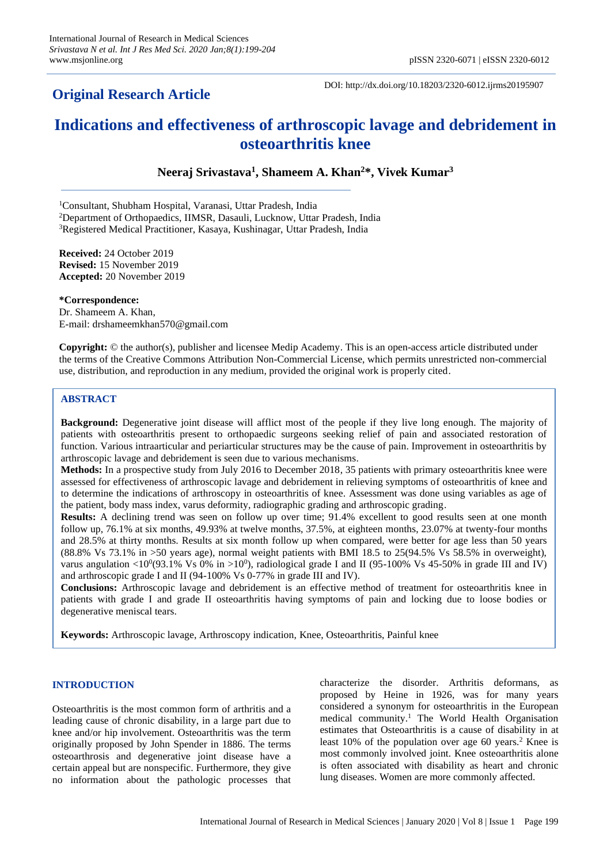## **Original Research Article**

DOI: http://dx.doi.org/10.18203/2320-6012.ijrms20195907

# **Indications and effectiveness of arthroscopic lavage and debridement in osteoarthritis knee**

**Neeraj Srivastava<sup>1</sup> , Shameem A. Khan<sup>2</sup>\*, Vivek Kumar<sup>3</sup>**

<sup>1</sup>Consultant, Shubham Hospital, Varanasi, Uttar Pradesh, India

<sup>2</sup>Department of Orthopaedics, IIMSR, Dasauli, Lucknow, Uttar Pradesh, India

<sup>3</sup>Registered Medical Practitioner, Kasaya, Kushinagar, Uttar Pradesh, India

**Received:** 24 October 2019 **Revised:** 15 November 2019 **Accepted:** 20 November 2019

**\*Correspondence:** Dr. Shameem A. Khan, E-mail: drshameemkhan570@gmail.com

**Copyright:** © the author(s), publisher and licensee Medip Academy. This is an open-access article distributed under the terms of the Creative Commons Attribution Non-Commercial License, which permits unrestricted non-commercial use, distribution, and reproduction in any medium, provided the original work is properly cited.

## **ABSTRACT**

**Background:** Degenerative joint disease will afflict most of the people if they live long enough. The majority of patients with osteoarthritis present to orthopaedic surgeons seeking relief of pain and associated restoration of function. Various intraarticular and periarticular structures may be the cause of pain. Improvement in osteoarthritis by arthroscopic lavage and debridement is seen due to various mechanisms.

**Methods:** In a prospective study from July 2016 to December 2018, 35 patients with primary osteoarthritis knee were assessed for effectiveness of arthroscopic lavage and debridement in relieving symptoms of osteoarthritis of knee and to determine the indications of arthroscopy in osteoarthritis of knee. Assessment was done using variables as age of the patient, body mass index, varus deformity, radiographic grading and arthroscopic grading.

**Results:** A declining trend was seen on follow up over time; 91.4% excellent to good results seen at one month follow up, 76.1% at six months, 49.93% at twelve months, 37.5%, at eighteen months, 23.07% at twenty-four months and 28.5% at thirty months. Results at six month follow up when compared, were better for age less than 50 years (88.8% Vs 73.1% in >50 years age), normal weight patients with BMI 18.5 to 25(94.5% Vs 58.5% in overweight), varus angulation <10<sup>0</sup>(93.1% Vs 0% in >10<sup>0</sup>), radiological grade I and II (95-100% Vs 45-50% in grade III and IV) and arthroscopic grade I and II (94-100% Vs 0-77% in grade III and IV).

**Conclusions:** Arthroscopic lavage and debridement is an effective method of treatment for osteoarthritis knee in patients with grade I and grade II osteoarthritis having symptoms of pain and locking due to loose bodies or degenerative meniscal tears.

**Keywords:** Arthroscopic lavage, Arthroscopy indication, Knee, Osteoarthritis, Painful knee

## **INTRODUCTION**

Osteoarthritis is the most common form of arthritis and a leading cause of chronic disability, in a large part due to knee and/or hip involvement. Osteoarthritis was the term originally proposed by John Spender in 1886. The terms osteoarthrosis and degenerative joint disease have a certain appeal but are nonspecific. Furthermore, they give no information about the pathologic processes that characterize the disorder. Arthritis deformans, as proposed by Heine in 1926, was for many years considered a synonym for osteoarthritis in the European medical community.<sup>1</sup> The World Health Organisation estimates that Osteoarthritis is a cause of disability in at least 10% of the population over age 60 years.<sup>2</sup> Knee is most commonly involved joint. Knee osteoarthritis alone is often associated with disability as heart and chronic lung diseases. Women are more commonly affected.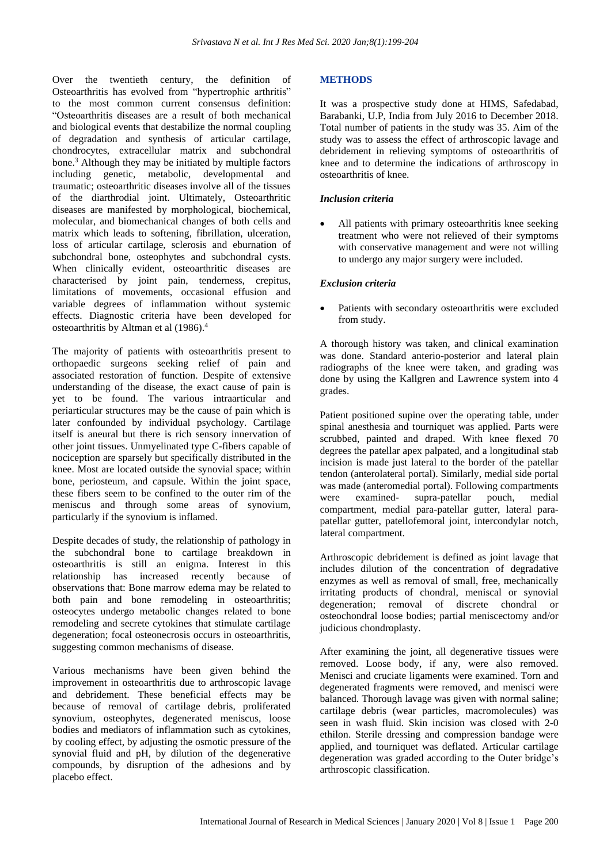Over the twentieth century, the definition of Osteoarthritis has evolved from "hypertrophic arthritis" to the most common current consensus definition: "Osteoarthritis diseases are a result of both mechanical and biological events that destabilize the normal coupling of degradation and synthesis of articular cartilage, chondrocytes, extracellular matrix and subchondral bone.<sup>3</sup> Although they may be initiated by multiple factors including genetic, metabolic, developmental and traumatic; osteoarthritic diseases involve all of the tissues of the diarthrodial joint. Ultimately, Osteoarthritic diseases are manifested by morphological, biochemical, molecular, and biomechanical changes of both cells and matrix which leads to softening, fibrillation, ulceration, loss of articular cartilage, sclerosis and eburnation of subchondral bone, osteophytes and subchondral cysts. When clinically evident, osteoarthritic diseases are characterised by joint pain, tenderness, crepitus, limitations of movements, occasional effusion and variable degrees of inflammation without systemic effects. Diagnostic criteria have been developed for osteoarthritis by Altman et al (1986).<sup>4</sup>

The majority of patients with osteoarthritis present to orthopaedic surgeons seeking relief of pain and associated restoration of function. Despite of extensive understanding of the disease, the exact cause of pain is yet to be found. The various intraarticular and periarticular structures may be the cause of pain which is later confounded by individual psychology. Cartilage itself is aneural but there is rich sensory innervation of other joint tissues. Unmyelinated type C-fibers capable of nociception are sparsely but specifically distributed in the knee. Most are located outside the synovial space; within bone, periosteum, and capsule. Within the joint space, these fibers seem to be confined to the outer rim of the meniscus and through some areas of synovium, particularly if the synovium is inflamed.

Despite decades of study, the relationship of pathology in the subchondral bone to cartilage breakdown in osteoarthritis is still an enigma. Interest in this relationship has increased recently because of observations that: Bone marrow edema may be related to both pain and bone remodeling in osteoarthritis; osteocytes undergo metabolic changes related to bone remodeling and secrete cytokines that stimulate cartilage degeneration; focal osteonecrosis occurs in osteoarthritis, suggesting common mechanisms of disease.

Various mechanisms have been given behind the improvement in osteoarthritis due to arthroscopic lavage and debridement. These beneficial effects may be because of removal of cartilage debris, proliferated synovium, osteophytes, degenerated meniscus, loose bodies and mediators of inflammation such as cytokines, by cooling effect, by adjusting the osmotic pressure of the synovial fluid and pH, by dilution of the degenerative compounds, by disruption of the adhesions and by placebo effect.

## **METHODS**

It was a prospective study done at HIMS, Safedabad, Barabanki, U.P, India from July 2016 to December 2018. Total number of patients in the study was 35. Aim of the study was to assess the effect of arthroscopic lavage and debridement in relieving symptoms of osteoarthritis of knee and to determine the indications of arthroscopy in osteoarthritis of knee.

## *Inclusion criteria*

All patients with primary osteoarthritis knee seeking treatment who were not relieved of their symptoms with conservative management and were not willing to undergo any major surgery were included.

#### *Exclusion criteria*

Patients with secondary osteoarthritis were excluded from study.

A thorough history was taken, and clinical examination was done. Standard anterio-posterior and lateral plain radiographs of the knee were taken, and grading was done by using the Kallgren and Lawrence system into 4 grades.

Patient positioned supine over the operating table, under spinal anesthesia and tourniquet was applied. Parts were scrubbed, painted and draped. With knee flexed 70 degrees the patellar apex palpated, and a longitudinal stab incision is made just lateral to the border of the patellar tendon (anterolateral portal). Similarly, medial side portal was made (anteromedial portal). Following compartments were examined- supra-patellar pouch, medial compartment, medial para-patellar gutter, lateral parapatellar gutter, patellofemoral joint, intercondylar notch, lateral compartment.

Arthroscopic debridement is defined as joint lavage that includes dilution of the concentration of degradative enzymes as well as removal of small, free, mechanically irritating products of chondral, meniscal or synovial degeneration; removal of discrete chondral or osteochondral loose bodies; partial meniscectomy and/or judicious chondroplasty.

After examining the joint, all degenerative tissues were removed. Loose body, if any, were also removed. Menisci and cruciate ligaments were examined. Torn and degenerated fragments were removed, and menisci were balanced. Thorough lavage was given with normal saline; cartilage debris (wear particles, macromolecules) was seen in wash fluid. Skin incision was closed with 2-0 ethilon. Sterile dressing and compression bandage were applied, and tourniquet was deflated. Articular cartilage degeneration was graded according to the Outer bridge's arthroscopic classification.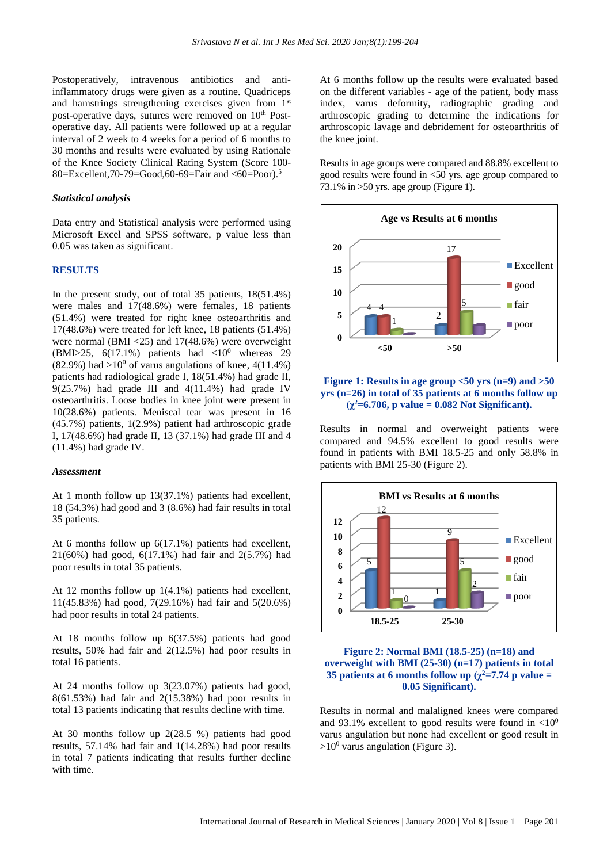Postoperatively, intravenous antibiotics and antiinflammatory drugs were given as a routine. Quadriceps and hamstrings strengthening exercises given from 1st post-operative days, sutures were removed on 10<sup>th</sup> Postoperative day. All patients were followed up at a regular interval of 2 week to 4 weeks for a period of 6 months to 30 months and results were evaluated by using Rationale of the Knee Society Clinical Rating System (Score 100- 80=Excellent,70-79=Good,60-69=Fair and <60=Poor).<sup>5</sup>

#### *Statistical analysis*

Data entry and Statistical analysis were performed using Microsoft Excel and SPSS software, p value less than 0.05 was taken as significant.

#### **RESULTS**

In the present study, out of total 35 patients, 18(51.4%) were males and 17(48.6%) were females, 18 patients (51.4%) were treated for right knee osteoarthritis and 17(48.6%) were treated for left knee, 18 patients (51.4%) were normal (BMI <25) and 17(48.6%) were overweight (BMI>25, 6(17.1%) patients had  $\langle 10^0 \text{ whereas } 29 \rangle$  $(82.9\%)$  had  $>10^0$  of varus angulations of knee, 4(11.4%) patients had radiological grade I, 18(51.4%) had grade II, 9(25.7%) had grade III and 4(11.4%) had grade IV osteoarthritis. Loose bodies in knee joint were present in 10(28.6%) patients. Meniscal tear was present in 16 (45.7%) patients, 1(2.9%) patient had arthroscopic grade I, 17(48.6%) had grade II, 13 (37.1%) had grade III and 4 (11.4%) had grade IV.

#### *Assessment*

At 1 month follow up 13(37.1%) patients had excellent, 18 (54.3%) had good and 3 (8.6%) had fair results in total 35 patients.

At 6 months follow up 6(17.1%) patients had excellent, 21(60%) had good, 6(17.1%) had fair and 2(5.7%) had poor results in total 35 patients.

At 12 months follow up 1(4.1%) patients had excellent, 11(45.83%) had good, 7(29.16%) had fair and 5(20.6%) had poor results in total 24 patients.

At 18 months follow up 6(37.5%) patients had good results, 50% had fair and 2(12.5%) had poor results in total 16 patients.

At 24 months follow up 3(23.07%) patients had good, 8(61.53%) had fair and 2(15.38%) had poor results in total 13 patients indicating that results decline with time.

At 30 months follow up 2(28.5 %) patients had good results, 57.14% had fair and 1(14.28%) had poor results in total 7 patients indicating that results further decline with time.

At 6 months follow up the results were evaluated based on the different variables - age of the patient, body mass index, varus deformity, radiographic grading and arthroscopic grading to determine the indications for arthroscopic lavage and debridement for osteoarthritis of the knee joint.

Results in age groups were compared and 88.8% excellent to good results were found in <50 yrs. age group compared to 73.1% in  $>50$  vrs. age group (Figure 1).



#### **Figure 1: Results in age group <50 yrs (n=9) and >50 yrs (n=26) in total of 35 patients at 6 months follow up**  $(\gamma^2 = 6.706, \text{ p value} = 0.082 \text{ Not Significant}).$

Results in normal and overweight patients were compared and 94.5% excellent to good results were found in patients with BMI 18.5-25 and only 58.8% in patients with BMI 25-30 (Figure 2).





Results in normal and malaligned knees were compared and 93.1% excellent to good results were found in  $\langle 10^0$ varus angulation but none had excellent or good result in  $>10^0$  varus angulation (Figure 3).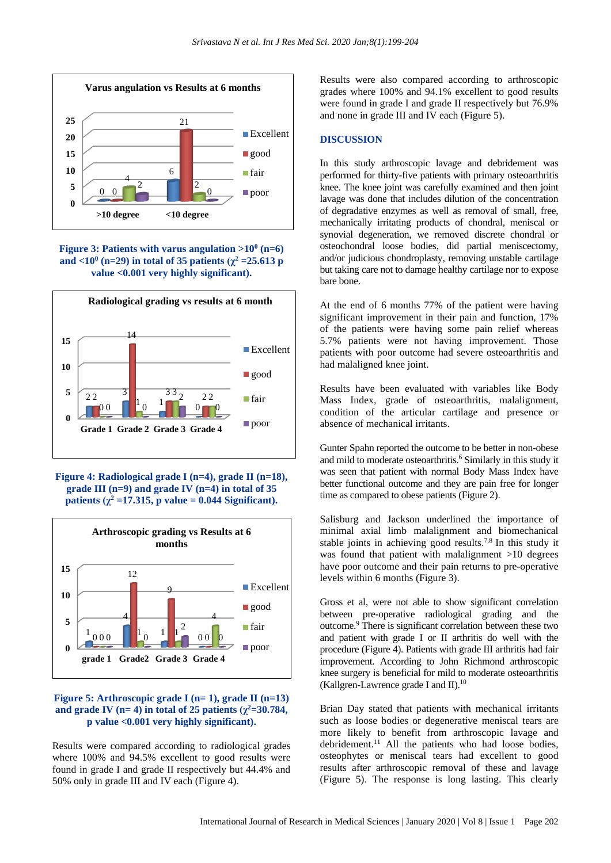





**Figure 4: Radiological grade I (n=4), grade II (n=18), grade III (n=9) and grade IV (n=4) in total of 35 patients**  $(\chi^2 = 17.315, \text{ p value} = 0.044 \text{ Significant}).$ 



#### **Figure 5: Arthroscopic grade I (n= 1), grade II (n=13) and grade IV** ( $n=4$ ) **in total** of 25 **patients** ( $\chi^2 = 30.784$ , **p value <0.001 very highly significant).**

Results were compared according to radiological grades where 100% and 94.5% excellent to good results were found in grade I and grade II respectively but 44.4% and 50% only in grade III and IV each (Figure 4).

Results were also compared according to arthroscopic grades where 100% and 94.1% excellent to good results were found in grade I and grade II respectively but 76.9% and none in grade III and IV each (Figure 5).

## **DISCUSSION**

In this study arthroscopic lavage and debridement was performed for thirty-five patients with primary osteoarthritis knee. The knee joint was carefully examined and then joint lavage was done that includes dilution of the concentration of degradative enzymes as well as removal of small, free, mechanically irritating products of chondral, meniscal or synovial degeneration, we removed discrete chondral or osteochondral loose bodies, did partial meniscectomy, and/or judicious chondroplasty, removing unstable cartilage but taking care not to damage healthy cartilage nor to expose bare bone.

At the end of 6 months 77% of the patient were having significant improvement in their pain and function, 17% of the patients were having some pain relief whereas 5.7% patients were not having improvement. Those patients with poor outcome had severe osteoarthritis and had malaligned knee joint.

Results have been evaluated with variables like Body Mass Index, grade of osteoarthritis, malalignment, condition of the articular cartilage and presence or absence of mechanical irritants.

Gunter Spahn reported the outcome to be better in non-obese and mild to moderate osteoarthritis.<sup>6</sup> Similarly in this study it was seen that patient with normal Body Mass Index have better functional outcome and they are pain free for longer time as compared to obese patients (Figure 2).

Salisburg and Jackson underlined the importance of minimal axial limb malalignment and biomechanical stable joints in achieving good results.<sup>7,8</sup> In this study it was found that patient with malalignment >10 degrees have poor outcome and their pain returns to pre-operative levels within 6 months (Figure 3).

Gross et al, were not able to show significant correlation between pre-operative radiological grading and the outcome.<sup>9</sup> There is significant correlation between these two and patient with grade I or II arthritis do well with the procedure (Figure 4). Patients with grade III arthritis had fair improvement. According to John Richmond arthroscopic knee surgery is beneficial for mild to moderate osteoarthritis (Kallgren-Lawrence grade I and II). $10$ 

Brian Day stated that patients with mechanical irritants such as loose bodies or degenerative meniscal tears are more likely to benefit from arthroscopic lavage and debridement.<sup>11</sup> All the patients who had loose bodies, osteophytes or meniscal tears had excellent to good results after arthroscopic removal of these and lavage (Figure 5). The response is long lasting. This clearly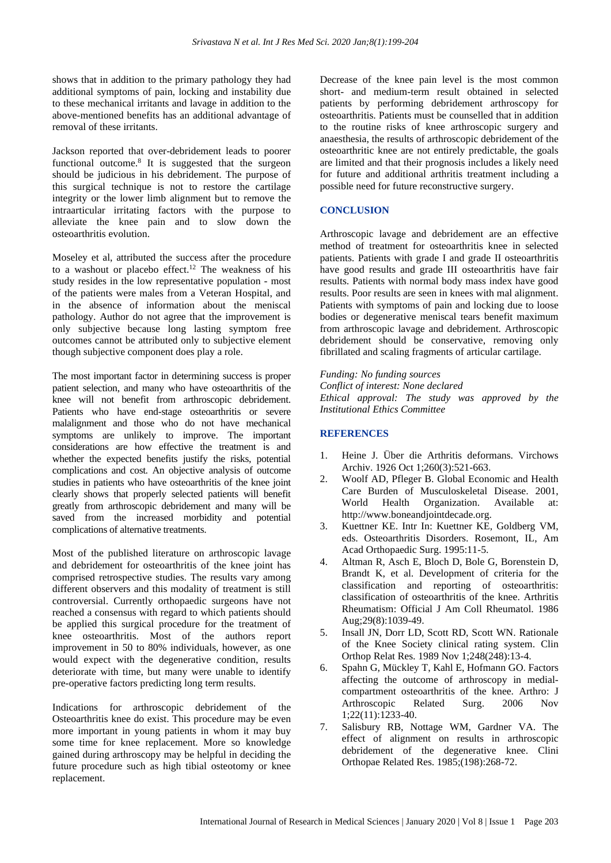shows that in addition to the primary pathology they had additional symptoms of pain, locking and instability due to these mechanical irritants and lavage in addition to the above-mentioned benefits has an additional advantage of removal of these irritants.

Jackson reported that over-debridement leads to poorer functional outcome.<sup>8</sup> It is suggested that the surgeon should be judicious in his debridement. The purpose of this surgical technique is not to restore the cartilage integrity or the lower limb alignment but to remove the intraarticular irritating factors with the purpose to alleviate the knee pain and to slow down the osteoarthritis evolution.

Moseley et al, attributed the success after the procedure to a washout or placebo effect.<sup>12</sup> The weakness of his study resides in the low representative population - most of the patients were males from a Veteran Hospital, and in the absence of information about the meniscal pathology. Author do not agree that the improvement is only subjective because long lasting symptom free outcomes cannot be attributed only to subjective element though subjective component does play a role.

The most important factor in determining success is proper patient selection, and many who have osteoarthritis of the knee will not benefit from arthroscopic debridement. Patients who have end-stage osteoarthritis or severe malalignment and those who do not have mechanical symptoms are unlikely to improve. The important considerations are how effective the treatment is and whether the expected benefits justify the risks, potential complications and cost. An objective analysis of outcome studies in patients who have osteoarthritis of the knee joint clearly shows that properly selected patients will benefit greatly from arthroscopic debridement and many will be saved from the increased morbidity and potential complications of alternative treatments.

Most of the published literature on arthroscopic lavage and debridement for osteoarthritis of the knee joint has comprised retrospective studies. The results vary among different observers and this modality of treatment is still controversial. Currently orthopaedic surgeons have not reached a consensus with regard to which patients should be applied this surgical procedure for the treatment of knee osteoarthritis. Most of the authors report improvement in 50 to 80% individuals, however, as one would expect with the degenerative condition, results deteriorate with time, but many were unable to identify pre-operative factors predicting long term results.

Indications for arthroscopic debridement of the Osteoarthritis knee do exist. This procedure may be even more important in young patients in whom it may buy some time for knee replacement. More so knowledge gained during arthroscopy may be helpful in deciding the future procedure such as high tibial osteotomy or knee replacement.

Decrease of the knee pain level is the most common short- and medium-term result obtained in selected patients by performing debridement arthroscopy for osteoarthritis. Patients must be counselled that in addition to the routine risks of knee arthroscopic surgery and anaesthesia, the results of arthroscopic debridement of the osteoarthritic knee are not entirely predictable, the goals are limited and that their prognosis includes a likely need for future and additional arthritis treatment including a possible need for future reconstructive surgery.

#### **CONCLUSION**

Arthroscopic lavage and debridement are an effective method of treatment for osteoarthritis knee in selected patients. Patients with grade I and grade II osteoarthritis have good results and grade III osteoarthritis have fair results. Patients with normal body mass index have good results. Poor results are seen in knees with mal alignment. Patients with symptoms of pain and locking due to loose bodies or degenerative meniscal tears benefit maximum from arthroscopic lavage and debridement. Arthroscopic debridement should be conservative, removing only fibrillated and scaling fragments of articular cartilage.

*Funding: No funding sources Conflict of interest: None declared Ethical approval: The study was approved by the Institutional Ethics Committee*

#### **REFERENCES**

- 1. Heine J. Über die Arthritis deformans. Virchows Archiv. 1926 Oct 1;260(3):521-663.
- 2. Woolf AD, Pfleger B. Global Economic and Health Care Burden of Musculoskeletal Disease. 2001, World Health Organization. Available at: http://www.boneandjointdecade.org.
- 3. Kuettner KE. Intr In: Kuettner KE, Goldberg VM, eds. Osteoarthritis Disorders. Rosemont, IL, Am Acad Orthopaedic Surg. 1995:11-5.
- 4. Altman R, Asch E, Bloch D, Bole G, Borenstein D, Brandt K, et al. Development of criteria for the classification and reporting of osteoarthritis: classification of osteoarthritis of the knee. Arthritis Rheumatism: Official J Am Coll Rheumatol. 1986 Aug;29(8):1039-49.
- 5. Insall JN, Dorr LD, Scott RD, Scott WN. Rationale of the Knee Society clinical rating system. Clin Orthop Relat Res. 1989 Nov 1;248(248):13-4.
- 6. Spahn G, Mückley T, Kahl E, Hofmann GO. Factors affecting the outcome of arthroscopy in medialcompartment osteoarthritis of the knee. Arthro: J Arthroscopic Related Surg. 2006 Nov 1;22(11):1233-40.
- 7. Salisbury RB, Nottage WM, Gardner VA. The effect of alignment on results in arthroscopic debridement of the degenerative knee. Clini Orthopae Related Res. 1985;(198):268-72.